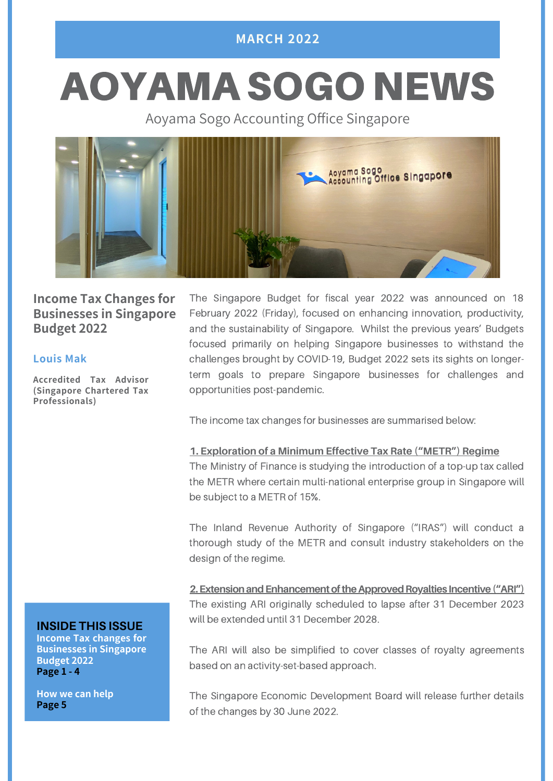# **MARCH 2022**

# AOYAMA SOGO NEWS

Aoyama Sogo Accounting Office Singapore



# **Income Tax Changes for Businesses in Singapore Budget 2022**

#### **Louis Mak**

**Accredited Tax Advisor (Singapore Chartered Tax Professionals)**

The Singapore Budget for fiscal year 2022 was announced on 18 February 2022 (Friday), focused on enhancing innovation, productivity, and the sustainability of Singapore. Whilst the previous years' Budgets focused primarily on helping Singapore businesses to withstand the challenges brought by COVID-19, Budget 2022 sets its sights on longerterm goals to prepare Singapore businesses for challenges and opportunities post-pandemic.

The income tax changes for businesses are summarised below:

#### **1. Exploration of a Minimum Effective Tax Rate ("METR") Regime**

The Ministry of Finance is studying the introduction of a top-up tax called the METR where certain multi-national enterprise group in Singapore will be subject to a METR of 15%.

The Inland Revenue Authority of Singapore ("IRAS") will conduct a thorough study of the METR and consult industry stakeholders on the design of the regime.

**2. Extension and Enhancement of the Approved Royalties Incentive ("ARI")** The existing ARI originally scheduled to lapse after 31 December 2023 will be extended until 31 December 2028.

The ARI will also be simplified to cover classes of royalty agreements based on an activity-set-based approach.

The Singapore Economic Development Board will release further details of the changes by 30 June 2022.

#### **INSIDE THIS ISSUE**

**Income Tax changes for Businesses in Singapore Budget 2022 Page 1 - 4**

**How we can help Page 5**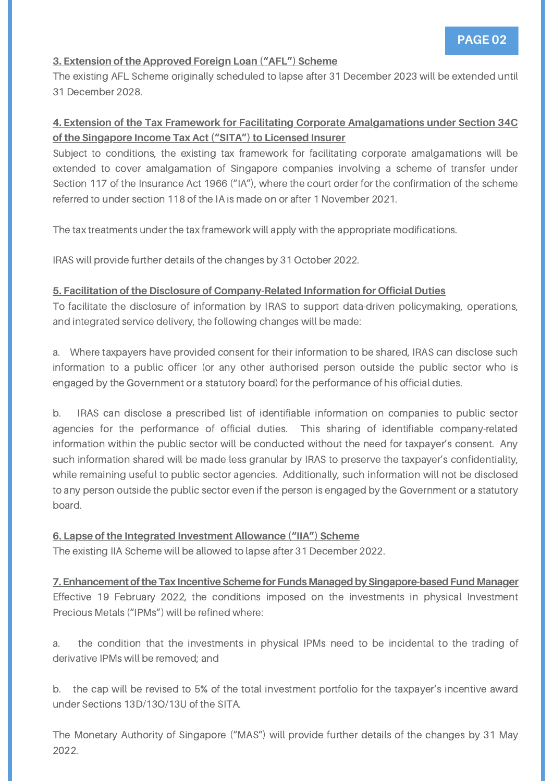#### **3. Extension of the Approved Foreign Loan ("AFL") Scheme**

The existing AFL Scheme originally scheduled to lapse after 31 December 2023 will be extended until 31 December 2028.

#### **4. Extension of the Tax Framework for Facilitating Corporate Amalgamations under Section 34C of the Singapore Income Tax Act ("SITA") to Licensed Insurer**

Subject to conditions, the existing tax framework for facilitating corporate amalgamations will be extended to cover amalgamation of Singapore companies involving a scheme of transfer under Section 117 of the Insurance Act 1966 ("IA"), where the court order for the confirmation of the scheme referred to under section 118 of the IA is made on or after 1 November 2021.

The tax treatments under the tax framework will apply with the appropriate modifications.

IRAS will provide further details of the changes by 31 October 2022.

#### **5. Facilitation of the Disclosure of Company-Related Information for Official Duties**

To facilitate the disclosure of information by IRAS to support data-driven policymaking, operations, and integrated service delivery, the following changes will be made:

a. Where taxpayers have provided consent for their information to be shared, IRAS can disclose such information to a public officer (or any other authorised person outside the public sector who is engaged by the Government or a statutory board) for the performance of his official duties.

b. IRAS can disclose a prescribed list of identifiable information on companies to public sector agencies for the performance of official duties. This sharing of identifiable company-related information within the public sector will be conducted without the need for taxpayer's consent. Any such information shared will be made less granular by IRAS to preserve the taxpayer's confidentiality, while remaining useful to public sector agencies. Additionally, such information will not be disclosed to any person outside the public sector even if the person is engaged by the Government or a statutory board.

#### **6. Lapse of the Integrated Investment Allowance ("IIA") Scheme**

The existing IIA Scheme will be allowed to lapse after 31 December 2022.

## **7. Enhancement of the Tax Incentive Scheme for Funds Managed by Singapore-based Fund Manager**

Effective 19 February 2022, the conditions imposed on the investments in physical Investment Precious Metals ("IPMs") will be refined where:

a. the condition that the investments in physical IPMs need to be incidental to the trading of derivative IPMs will be removed; and

b. the cap will be revised to 5% of the total investment portfolio for the taxpayer's incentive award under Sections 13D/13O/13U of the SITA.

The Monetary Authority of Singapore ("MAS") will provide further details of the changes by 31 May 2022.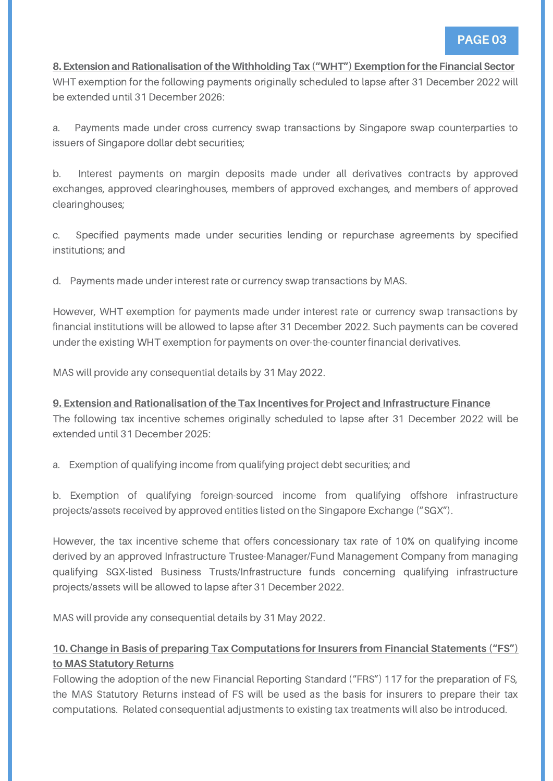#### **8. Extension and Rationalisation oftheWithholding Tax ("WHT") Exemption forthe Financial Sector**

WHT exemption for the following payments originally scheduled to lapse after 31 December 2022 will be extended until 31 December 2026:

a. Payments made under cross currency swap transactions by Singapore swap counterparties to issuers of Singapore dollar debt securities;

b. Interest payments on margin deposits made under all derivatives contracts by approved exchanges, approved clearinghouses, members of approved exchanges, and members of approved clearinghouses;

c. Specified payments made under securities lending or repurchase agreements by specified institutions; and

d. Payments made under interest rate or currency swap transactions by MAS.

However, WHT exemption for payments made under interest rate or currency swap transactions by financial institutions will be allowed to lapse after 31 December 2022. Such payments can be covered under the existing WHT exemption for payments on over-the-counter financial derivatives.

MAS will provide any consequential details by 31 May 2022.

**9. Extension and Rationalisation of the Tax Incentives for Project and Infrastructure Finance** The following tax incentive schemes originally scheduled to lapse after 31 December 2022 will be extended until 31 December 2025:

a. Exemption of qualifying income from qualifying project debt securities; and

b. Exemption of qualifying foreign-sourced income from qualifying offshore infrastructure projects/assets received by approved entities listed on the Singapore Exchange ("SGX").

However, the tax incentive scheme that offers concessionary tax rate of 10% on qualifying income derived by an approved Infrastructure Trustee-Manager/Fund Management Company from managing qualifying SGX-listed Business Trusts/Infrastructure funds concerning qualifying infrastructure projects/assets will be allowed to lapse after 31 December 2022.

MAS will provide any consequential details by 31 May 2022.

## **10. Change in Basis of preparing Tax Computations for Insurers from Financial Statements ("FS") to MAS Statutory Returns**

Following the adoption of the new Financial Reporting Standard ("FRS") 117 for the preparation of FS, the MAS Statutory Returns instead of FS will be used as the basis for insurers to prepare their tax computations. Related consequential adjustments to existing tax treatments will also be introduced.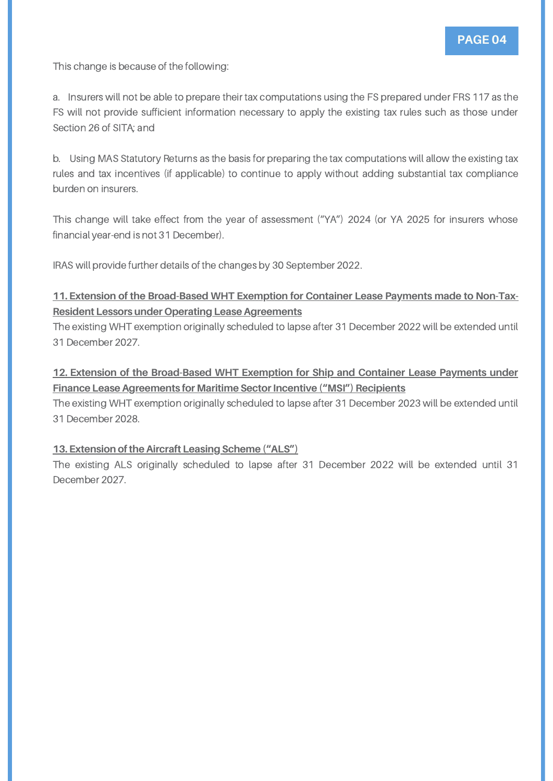This change is because of the following:

a. Insurers will not be able to prepare their tax computations using the FS prepared under FRS 117 as the FS will not provide sufficient information necessary to apply the existing tax rules such as those under Section 26 of SITA; and

b. Using MAS Statutory Returns as the basis for preparing the tax computations will allow the existing tax rules and tax incentives (if applicable) to continue to apply without adding substantial tax compliance burden on insurers.

This change will take effect from the year of assessment ("YA") 2024 (or YA 2025 for insurers whose financial year-end is not 31 December).

IRAS will provide further details of the changes by 30 September 2022.

#### **11. Extension of the Broad-Based WHT Exemption for Container Lease Payments made to Non-Tax-Resident Lessors under Operating Lease Agreements**

The existing WHT exemption originally scheduled to lapse after 31 December 2022 will be extended until 31 December 2027.

#### **12. Extension of the Broad-Based WHT Exemption for Ship and Container Lease Payments under Finance Lease Agreements for Maritime Sector Incentive ("MSI") Recipients**

The existing WHT exemption originally scheduled to lapse after 31 December 2023 will be extended until 31 December 2028.

#### **13. Extension oftheAircraft Leasing Scheme ("ALS")**

The existing ALS originally scheduled to lapse after 31 December 2022 will be extended until 31 December 2027.